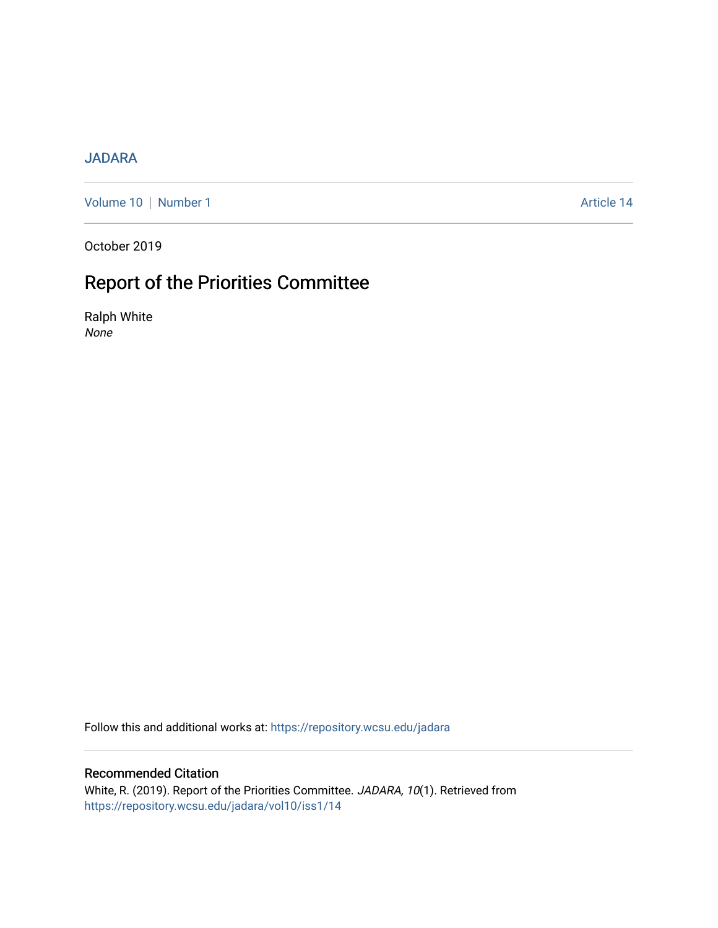### [JADARA](https://repository.wcsu.edu/jadara)

[Volume 10](https://repository.wcsu.edu/jadara/vol10) | [Number 1](https://repository.wcsu.edu/jadara/vol10/iss1) Article 14

October 2019

# Report of the Priorities Committee

Ralph White None

Follow this and additional works at: [https://repository.wcsu.edu/jadara](https://repository.wcsu.edu/jadara?utm_source=repository.wcsu.edu%2Fjadara%2Fvol10%2Fiss1%2F14&utm_medium=PDF&utm_campaign=PDFCoverPages)

#### Recommended Citation

White, R. (2019). Report of the Priorities Committee. JADARA, 10(1). Retrieved from [https://repository.wcsu.edu/jadara/vol10/iss1/14](https://repository.wcsu.edu/jadara/vol10/iss1/14?utm_source=repository.wcsu.edu%2Fjadara%2Fvol10%2Fiss1%2F14&utm_medium=PDF&utm_campaign=PDFCoverPages)